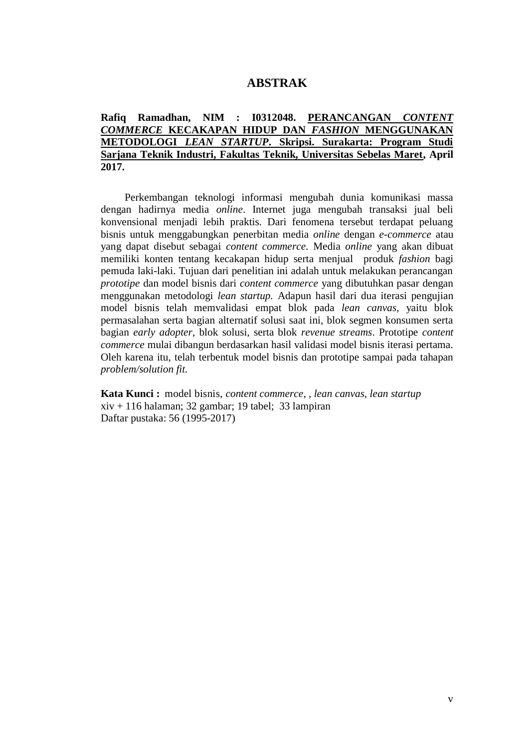## **ABSTRAK**

## **Rafiq Ramadhan, NIM : I0312048. PERANCANGAN** *CONTENT COMMERCE* **KECAKAPAN HIDUP DAN** *FASHION* **MENGGUNAKAN METODOLOGI** *LEAN STARTUP***. Skripsi. Surakarta: Program Studi Sarjana Teknik Industri, Fakultas Teknik, Universitas Sebelas Maret, April 2017.**

Perkembangan teknologi informasi mengubah dunia komunikasi massa dengan hadirnya media *online*. Internet juga mengubah transaksi jual beli konvensional menjadi lebih praktis. Dari fenomena tersebut terdapat peluang bisnis untuk menggabungkan penerbitan media *online* dengan *e-commerce* atau yang dapat disebut sebagai *content commerce.* Media *online* yang akan dibuat memiliki konten tentang kecakapan hidup serta menjual produk *fashion* bagi pemuda laki-laki. Tujuan dari penelitian ini adalah untuk melakukan perancangan *prototipe* dan model bisnis dari *content commerce* yang dibutuhkan pasar dengan menggunakan metodologi *lean startup.* Adapun hasil dari dua iterasi pengujian model bisnis telah memvalidasi empat blok pada *lean canvas,* yaitu blok permasalahan serta bagian alternatif solusi saat ini, blok segmen konsumen serta bagian *early adopter*, blok solusi, serta blok *revenue streams*. Prototipe *content commerce* mulai dibangun berdasarkan hasil validasi model bisnis iterasi pertama*.*  Oleh karena itu, telah terbentuk model bisnis dan prototipe sampai pada tahapan *problem/solution fit.* 

**Kata Kunci :** model bisnis, *content commerce, , lean canvas, lean startup*  $xiv + 116$  halaman; 32 gambar; 19 tabel; 33 lampiran Daftar pustaka: 56 (1995-2017)